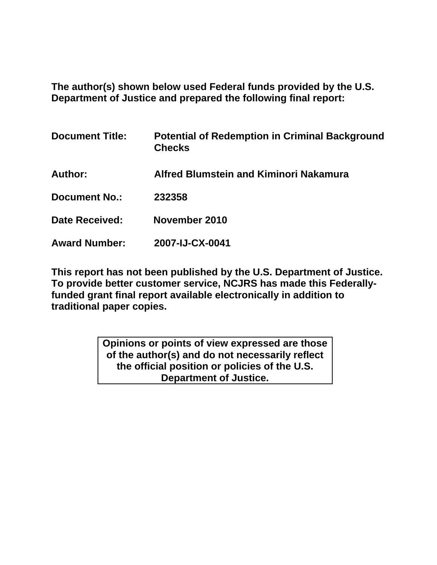**The author(s) shown below used Federal funds provided by the U.S. Department of Justice and prepared the following final report:** 

| <b>Document Title:</b>                                   | <b>Potential of Redemption in Criminal Background</b><br><b>Checks</b>   |                      |                 |
|----------------------------------------------------------|--------------------------------------------------------------------------|----------------------|-----------------|
| Author:<br><b>Document No.:</b><br><b>Date Received:</b> | <b>Alfred Blumstein and Kiminori Nakamura</b><br>232358<br>November 2010 |                      |                 |
|                                                          |                                                                          | <b>Award Number:</b> | 2007-IJ-CX-0041 |

**This report has not been published by the U.S. Department of Justice. To provide better customer service, NCJRS has made this Federallyfunded grant final report available electronically in addition to traditional paper copies.** 

> **Opinions or points of view expressed are those of the author(s) and do not necessarily reflect the official position or policies of the U.S. Department of Justice.**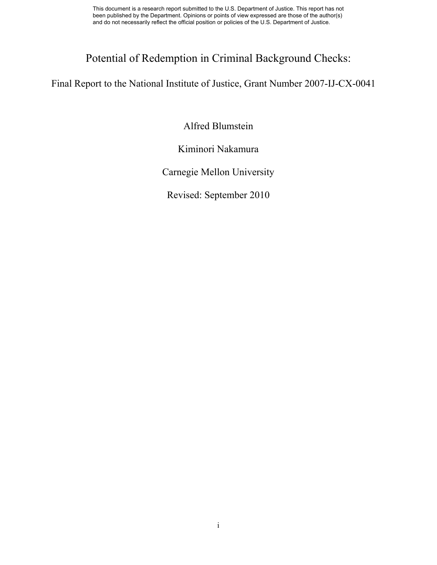# Potential of Redemption in Criminal Background Checks:

Final Report to the National Institute of Justice, Grant Number 2007-IJ-CX-0041

Alfred Blumstein

Kiminori Nakamura

Carnegie Mellon University

Revised: September 2010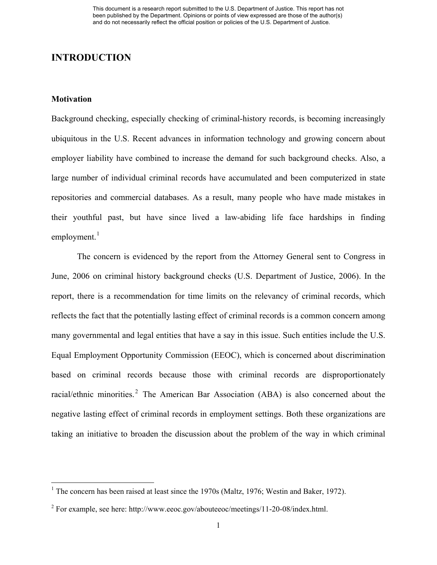### **INTRODUCTION**

### **Motivation**

Background checking, especially checking of criminal-history records, is becoming increasingly ubiquitous in the U.S. Recent advances in information technology and growing concern about employer liability have combined to increase the demand for such background checks. Also, a large number of individual criminal records have accumulated and been computerized in state repositories and commercial databases. As a result, many people who have made mistakes in their youthful past, but have since lived a law-abiding life face hardships in finding  $employment.<sup>1</sup>$  $employment.<sup>1</sup>$  $employment.<sup>1</sup>$ 

The concern is evidenced by the report from the Attorney General sent to Congress in June, 2006 on criminal history background checks (U.S. Department of Justice, 2006). In the report, there is a recommendation for time limits on the relevancy of criminal records, which reflects the fact that the potentially lasting effect of criminal records is a common concern among many governmental and legal entities that have a say in this issue. Such entities include the U.S. Equal Employment Opportunity Commission (EEOC), which is concerned about discrimination based on criminal records because those with criminal records are disproportionately racial/ethnic minorities.<sup>[2](#page-2-1)</sup> The American Bar Association (ABA) is also concerned about the negative lasting effect of criminal records in employment settings. Both these organizations are taking an initiative to broaden the discussion about the problem of the way in which criminal

<span id="page-2-0"></span><sup>&</sup>lt;sup>1</sup> The concern has been raised at least since the 1970s (Maltz, 1976; Westin and Baker, 1972).

<span id="page-2-1"></span><sup>&</sup>lt;sup>2</sup> For example, see here: http://www.eeoc.gov/abouteeoc/meetings/11-20-08/index.html.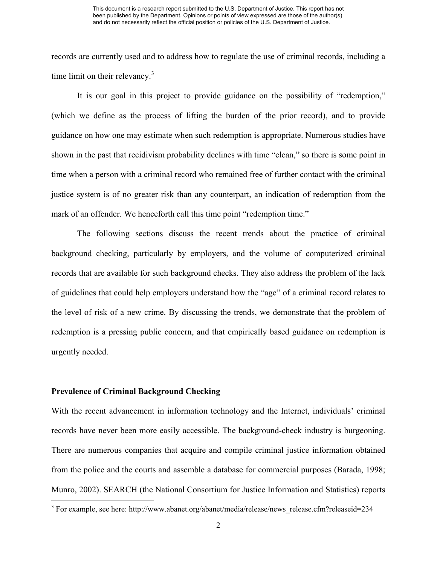records are currently used and to address how to regulate the use of criminal records, including a time limit on their relevancy.<sup>[3](#page-3-0)</sup>

It is our goal in this project to provide guidance on the possibility of "redemption," (which we define as the process of lifting the burden of the prior record), and to provide guidance on how one may estimate when such redemption is appropriate. Numerous studies have shown in the past that recidivism probability declines with time "clean," so there is some point in time when a person with a criminal record who remained free of further contact with the criminal justice system is of no greater risk than any counterpart, an indication of redemption from the mark of an offender. We henceforth call this time point "redemption time."

The following sections discuss the recent trends about the practice of criminal background checking, particularly by employers, and the volume of computerized criminal records that are available for such background checks. They also address the problem of the lack of guidelines that could help employers understand how the "age" of a criminal record relates to the level of risk of a new crime. By discussing the trends, we demonstrate that the problem of redemption is a pressing public concern, and that empirically based guidance on redemption is urgently needed.

#### **Prevalence of Criminal Background Checking**

With the recent advancement in information technology and the Internet, individuals' criminal records have never been more easily accessible. The background-check industry is burgeoning. There are numerous companies that acquire and compile criminal justice information obtained from the police and the courts and assemble a database for commercial purposes (Barada, 1998; Munro, 2002). SEARCH (the National Consortium for Justice Information and Statistics) reports

<span id="page-3-0"></span><sup>&</sup>lt;sup>3</sup> For example, see here: http://www.abanet.org/abanet/media/release/news\_release.cfm?releaseid=234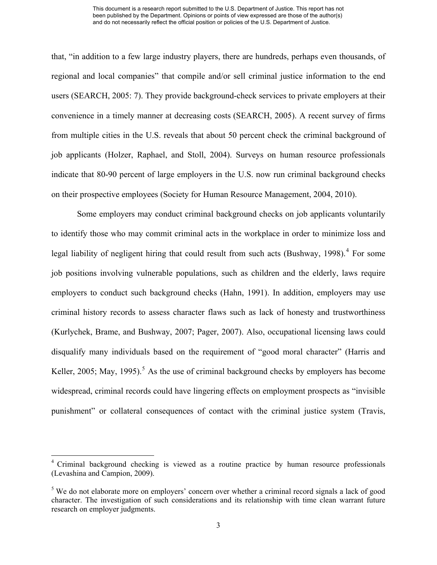that, "in addition to a few large industry players, there are hundreds, perhaps even thousands, of regional and local companies" that compile and/or sell criminal justice information to the end users (SEARCH, 2005: 7). They provide background-check services to private employers at their convenience in a timely manner at decreasing costs (SEARCH, 2005). A recent survey of firms from multiple cities in the U.S. reveals that about 50 percent check the criminal background of job applicants (Holzer, Raphael, and Stoll, 2004). Surveys on human resource professionals indicate that 80-90 percent of large employers in the U.S. now run criminal background checks on their prospective employees (Society for Human Resource Management, 2004, 2010).

Some employers may conduct criminal background checks on job applicants voluntarily to identify those who may commit criminal acts in the workplace in order to minimize loss and legal liability of negligent hiring that could result from such acts (Bushway, 1998).<sup>[4](#page-4-0)</sup> For some job positions involving vulnerable populations, such as children and the elderly, laws require employers to conduct such background checks (Hahn, 1991). In addition, employers may use criminal history records to assess character flaws such as lack of honesty and trustworthiness (Kurlychek, Brame, and Bushway, 2007; Pager, 2007). Also, occupational licensing laws could disqualify many individuals based on the requirement of "good moral character" (Harris and Keller, 200[5](#page-4-1); May, 1995).<sup>5</sup> As the use of criminal background checks by employers has become widespread, criminal records could have lingering effects on employment prospects as "invisible punishment" or collateral consequences of contact with the criminal justice system (Travis,

<span id="page-4-0"></span><sup>&</sup>lt;sup>4</sup> Criminal background checking is viewed as a routine practice by human resource professionals (Levashina and Campion, 2009).

<span id="page-4-1"></span><sup>&</sup>lt;sup>5</sup> We do not elaborate more on employers' concern over whether a criminal record signals a lack of good character. The investigation of such considerations and its relationship with time clean warrant future research on employer judgments.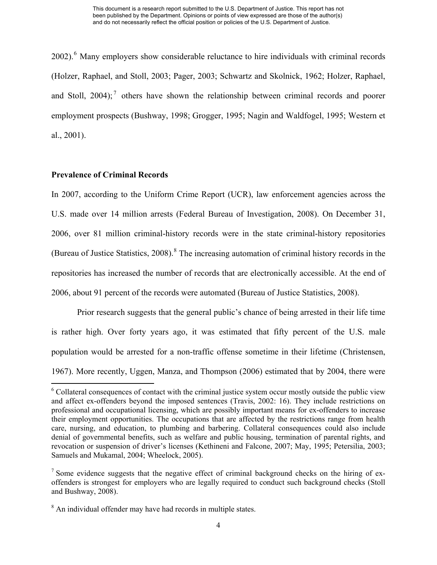2002).<sup>[6](#page-5-0)</sup> Many employers show considerable reluctance to hire individuals with criminal records (Holzer, Raphael, and Stoll, 2003; Pager, 2003; Schwartz and Skolnick, 1962; Holzer, Raphael, and Stoll,  $2004$ ;<sup>[7](#page-5-1)</sup> others have shown the relationship between criminal records and poorer employment prospects (Bushway, 1998; Grogger, 1995; Nagin and Waldfogel, 1995; Western et al., 2001).

### **Prevalence of Criminal Records**

In 2007, according to the Uniform Crime Report (UCR), law enforcement agencies across the U.S. made over 14 million arrests (Federal Bureau of Investigation, 2008). On December 31, 2006, over 81 million criminal-history records were in the state criminal-history repositories (Bureau of Justice Statistics, 200[8](#page-5-2)).<sup>8</sup> The increasing automation of criminal history records in the repositories has increased the number of records that are electronically accessible. At the end of 2006, about 91 percent of the records were automated (Bureau of Justice Statistics, 2008).

Prior research suggests that the general public's chance of being arrested in their life time is rather high. Over forty years ago, it was estimated that fifty percent of the U.S. male population would be arrested for a non-traffic offense sometime in their lifetime (Christensen, 1967). More recently, Uggen, Manza, and Thompson (2006) estimated that by 2004, there were

<span id="page-5-0"></span><sup>&</sup>lt;sup>6</sup> Collateral consequences of contact with the criminal justice system occur mostly outside the public view and affect ex-offenders beyond the imposed sentences (Travis, 2002: 16). They include restrictions on professional and occupational licensing, which are possibly important means for ex-offenders to increase their employment opportunities. The occupations that are affected by the restrictions range from health care, nursing, and education, to plumbing and barbering. Collateral consequences could also include denial of governmental benefits, such as welfare and public housing, termination of parental rights, and revocation or suspension of driver's licenses (Kethineni and Falcone, 2007; May, 1995; Petersilia, 2003; Samuels and Mukamal, 2004; Wheelock, 2005).

<span id="page-5-1"></span><sup>&</sup>lt;sup>7</sup> Some evidence suggests that the negative effect of criminal background checks on the hiring of exoffenders is strongest for employers who are legally required to conduct such background checks (Stoll and Bushway, 2008).

<span id="page-5-2"></span> $8$  An individual offender may have had records in multiple states.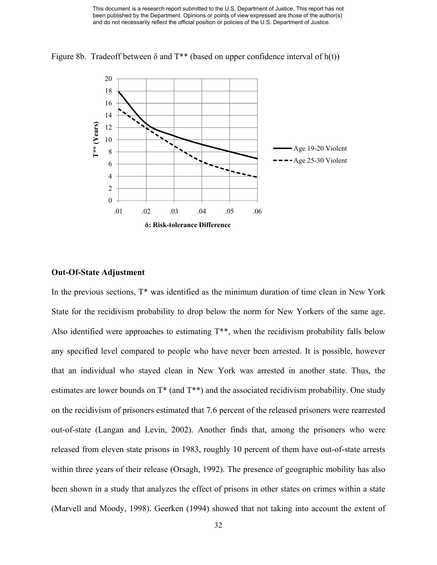

Figure 8b. Tradeoff between  $\delta$  and T<sup>\*\*</sup> (based on upper confidence interval of h(t))

### **Out-Of-State Adjustment**

In the previous sections, T\* was identified as the minimum duration of time clean in New York State for the recidivism probability to drop below the norm for New Yorkers of the same age. Also identified were approaches to estimating T\*\*, when the recidivism probability falls below any specified level compared to people who have never been arrested. It is possible, however that an individual who stayed clean in New York was arrested in another state. Thus, the estimates are lower bounds on  $T^*$  (and  $T^{**}$ ) and the associated recidivism probability. One study on the recidivism of prisoners estimated that 7.6 percent of the released prisoners were rearrested out-of-state (Langan and Levin, 2002). Another finds that, among the prisoners who were released from eleven state prisons in 1983, roughly 10 percent of them have out-of-state arrests within three years of their release (Orsagh, 1992). The presence of geographic mobility has also been shown in a study that analyzes the effect of prisons in other states on crimes within a state (Marvell and Moody, 1998). Geerken (1994) showed that not taking into account the extent of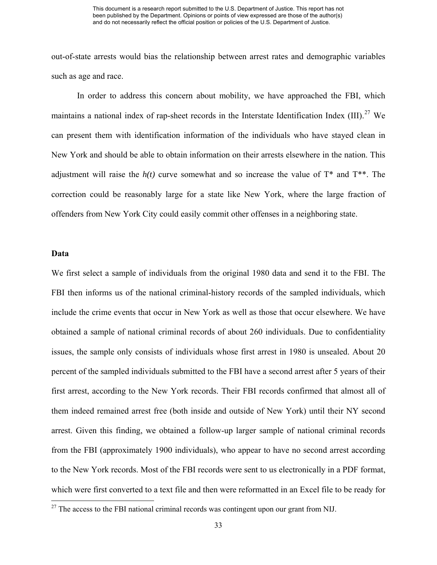out-of-state arrests would bias the relationship between arrest rates and demographic variables such as age and race.

In order to address this concern about mobility, we have approached the FBI, which maintains a national index of rap-sheet records in the Interstate Identification Index  $(III)$ .<sup>[27](#page-34-0)</sup> We can present them with identification information of the individuals who have stayed clean in New York and should be able to obtain information on their arrests elsewhere in the nation. This adjustment will raise the  $h(t)$  curve somewhat and so increase the value of  $T^*$  and  $T^{**}$ . The correction could be reasonably large for a state like New York, where the large fraction of offenders from New York City could easily commit other offenses in a neighboring state.

#### **Data**

We first select a sample of individuals from the original 1980 data and send it to the FBI. The FBI then informs us of the national criminal-history records of the sampled individuals, which include the crime events that occur in New York as well as those that occur elsewhere. We have obtained a sample of national criminal records of about 260 individuals. Due to confidentiality issues, the sample only consists of individuals whose first arrest in 1980 is unsealed. About 20 percent of the sampled individuals submitted to the FBI have a second arrest after 5 years of their first arrest, according to the New York records. Their FBI records confirmed that almost all of them indeed remained arrest free (both inside and outside of New York) until their NY second arrest. Given this finding, we obtained a follow-up larger sample of national criminal records from the FBI (approximately 1900 individuals), who appear to have no second arrest according to the New York records. Most of the FBI records were sent to us electronically in a PDF format, which were first converted to a text file and then were reformatted in an Excel file to be ready for

<span id="page-34-0"></span> $27$  The access to the FBI national criminal records was contingent upon our grant from NIJ.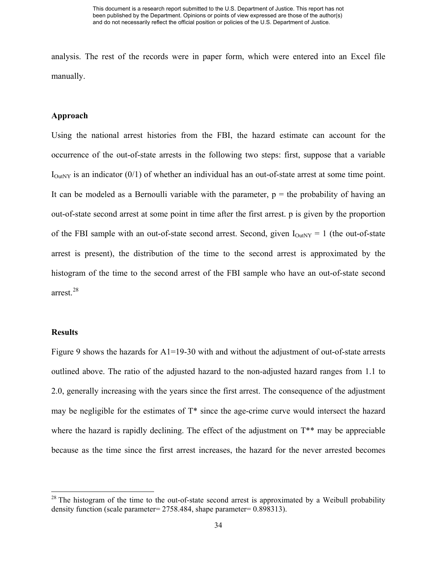analysis. The rest of the records were in paper form, which were entered into an Excel file manually.

#### **Approach**

Using the national arrest histories from the FBI, the hazard estimate can account for the occurrence of the out-of-state arrests in the following two steps: first, suppose that a variable  $I_{\text{OutNY}}$  is an indicator (0/1) of whether an individual has an out-of-state arrest at some time point. It can be modeled as a Bernoulli variable with the parameter,  $p =$  the probability of having an out-of-state second arrest at some point in time after the first arrest. p is given by the proportion of the FBI sample with an out-of-state second arrest. Second, given  $I_{\text{OutNY}} = 1$  (the out-of-state arrest is present), the distribution of the time to the second arrest is approximated by the histogram of the time to the second arrest of the FBI sample who have an out-of-state second arrest.[28](#page-35-0)

#### **Results**

Figure 9 shows the hazards for A1=19-30 with and without the adjustment of out-of-state arrests outlined above. The ratio of the adjusted hazard to the non-adjusted hazard ranges from 1.1 to 2.0, generally increasing with the years since the first arrest. The consequence of the adjustment may be negligible for the estimates of T\* since the age-crime curve would intersect the hazard where the hazard is rapidly declining. The effect of the adjustment on  $T^{**}$  may be appreciable because as the time since the first arrest increases, the hazard for the never arrested becomes

<span id="page-35-0"></span> $2<sup>28</sup>$  The histogram of the time to the out-of-state second arrest is approximated by a Weibull probability density function (scale parameter= 2758.484, shape parameter= 0.898313).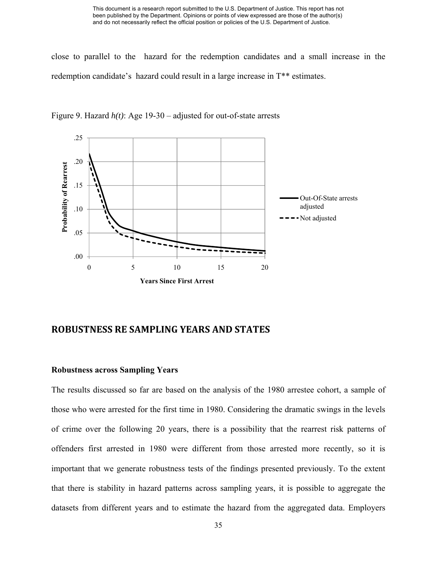close to parallel to the hazard for the redemption candidates and a small increase in the redemption candidate's hazard could result in a large increase in T\*\* estimates.



Figure 9. Hazard *h(t)*: Age 19-30 – adjusted for out-of-state arrests

## **ROBUSTNESS RE SAMPLING YEARS AND STATES**

### **Robustness across Sampling Years**

The results discussed so far are based on the analysis of the 1980 arrestee cohort, a sample of those who were arrested for the first time in 1980. Considering the dramatic swings in the levels of crime over the following 20 years, there is a possibility that the rearrest risk patterns of offenders first arrested in 1980 were different from those arrested more recently, so it is important that we generate robustness tests of the findings presented previously. To the extent that there is stability in hazard patterns across sampling years, it is possible to aggregate the datasets from different years and to estimate the hazard from the aggregated data. Employers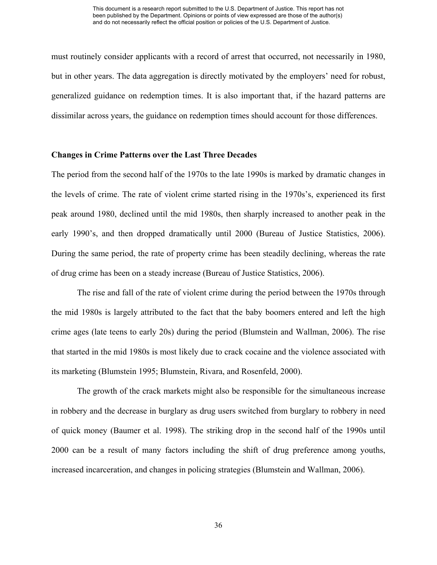must routinely consider applicants with a record of arrest that occurred, not necessarily in 1980, but in other years. The data aggregation is directly motivated by the employers' need for robust, generalized guidance on redemption times. It is also important that, if the hazard patterns are dissimilar across years, the guidance on redemption times should account for those differences.

#### **Changes in Crime Patterns over the Last Three Decades**

The period from the second half of the 1970s to the late 1990s is marked by dramatic changes in the levels of crime. The rate of violent crime started rising in the 1970s's, experienced its first peak around 1980, declined until the mid 1980s, then sharply increased to another peak in the early 1990's, and then dropped dramatically until 2000 (Bureau of Justice Statistics, 2006). During the same period, the rate of property crime has been steadily declining, whereas the rate of drug crime has been on a steady increase (Bureau of Justice Statistics, 2006).

The rise and fall of the rate of violent crime during the period between the 1970s through the mid 1980s is largely attributed to the fact that the baby boomers entered and left the high crime ages (late teens to early 20s) during the period (Blumstein and Wallman, 2006). The rise that started in the mid 1980s is most likely due to crack cocaine and the violence associated with its marketing (Blumstein 1995; Blumstein, Rivara, and Rosenfeld, 2000).

The growth of the crack markets might also be responsible for the simultaneous increase in robbery and the decrease in burglary as drug users switched from burglary to robbery in need of quick money (Baumer et al. 1998). The striking drop in the second half of the 1990s until 2000 can be a result of many factors including the shift of drug preference among youths, increased incarceration, and changes in policing strategies (Blumstein and Wallman, 2006).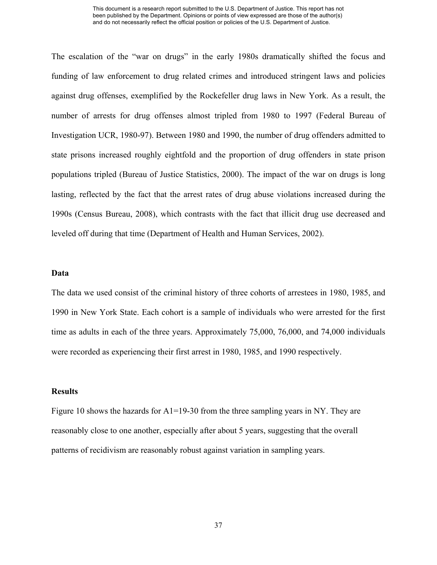The escalation of the "war on drugs" in the early 1980s dramatically shifted the focus and funding of law enforcement to drug related crimes and introduced stringent laws and policies against drug offenses, exemplified by the Rockefeller drug laws in New York. As a result, the number of arrests for drug offenses almost tripled from 1980 to 1997 (Federal Bureau of Investigation UCR, 1980-97). Between 1980 and 1990, the number of drug offenders admitted to state prisons increased roughly eightfold and the proportion of drug offenders in state prison populations tripled (Bureau of Justice Statistics, 2000). The impact of the war on drugs is long lasting, reflected by the fact that the arrest rates of drug abuse violations increased during the 1990s (Census Bureau, 2008), which contrasts with the fact that illicit drug use decreased and leveled off during that time (Department of Health and Human Services, 2002).

#### **Data**

The data we used consist of the criminal history of three cohorts of arrestees in 1980, 1985, and 1990 in New York State. Each cohort is a sample of individuals who were arrested for the first time as adults in each of the three years. Approximately 75,000, 76,000, and 74,000 individuals were recorded as experiencing their first arrest in 1980, 1985, and 1990 respectively.

#### **Results**

Figure 10 shows the hazards for A1=19-30 from the three sampling years in NY. They are reasonably close to one another, especially after about 5 years, suggesting that the overall patterns of recidivism are reasonably robust against variation in sampling years.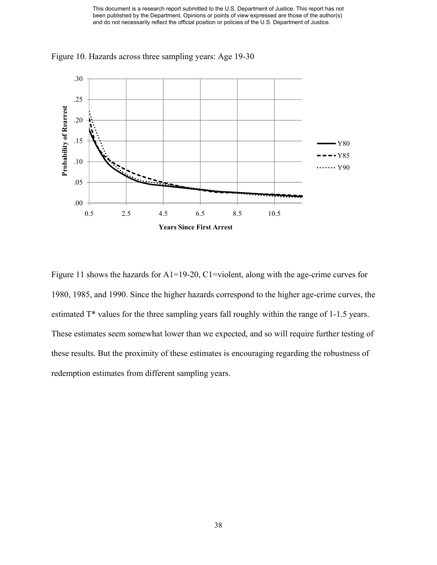

Figure 10. Hazards across three sampling years: Age 19-30

Figure 11 shows the hazards for A1=19-20, C1=violent, along with the age-crime curves for 1980, 1985, and 1990. Since the higher hazards correspond to the higher age-crime curves, the estimated T\* values for the three sampling years fall roughly within the range of 1-1.5 years. These estimates seem somewhat lower than we expected, and so will require further testing of these results. But the proximity of these estimates is encouraging regarding the robustness of redemption estimates from different sampling years.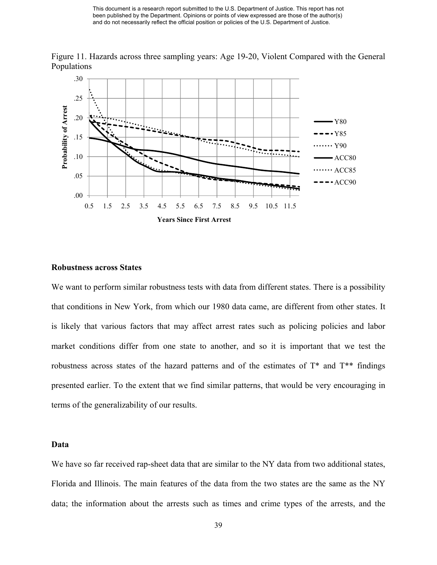

Figure 11. Hazards across three sampling years: Age 19-20, Violent Compared with the General Populations

#### **Robustness across States**

We want to perform similar robustness tests with data from different states. There is a possibility that conditions in New York, from which our 1980 data came, are different from other states. It is likely that various factors that may affect arrest rates such as policing policies and labor market conditions differ from one state to another, and so it is important that we test the robustness across states of the hazard patterns and of the estimates of  $T^*$  and  $T^{**}$  findings presented earlier. To the extent that we find similar patterns, that would be very encouraging in terms of the generalizability of our results.

#### **Data**

We have so far received rap-sheet data that are similar to the NY data from two additional states, Florida and Illinois. The main features of the data from the two states are the same as the NY data; the information about the arrests such as times and crime types of the arrests, and the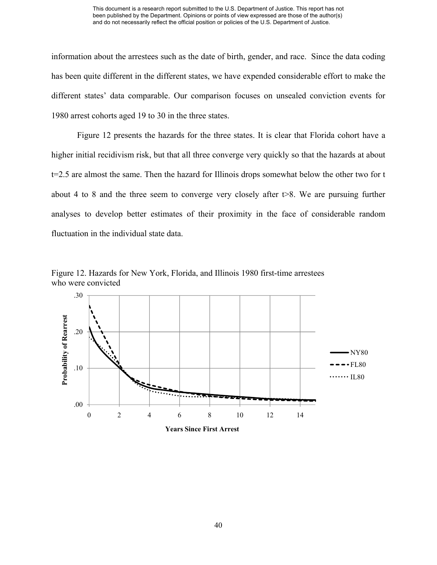information about the arrestees such as the date of birth, gender, and race. Since the data coding has been quite different in the different states, we have expended considerable effort to make the different states' data comparable. Our comparison focuses on unsealed conviction events for 1980 arrest cohorts aged 19 to 30 in the three states.

Figure 12 presents the hazards for the three states. It is clear that Florida cohort have a higher initial recidivism risk, but that all three converge very quickly so that the hazards at about t=2.5 are almost the same. Then the hazard for Illinois drops somewhat below the other two for t about 4 to 8 and the three seem to converge very closely after  $\triangleright$ 8. We are pursuing further analyses to develop better estimates of their proximity in the face of considerable random fluctuation in the individual state data.

Figure 12. Hazards for New York, Florida, and Illinois 1980 first-time arrestees who were convicted



**Years Since First Arrest**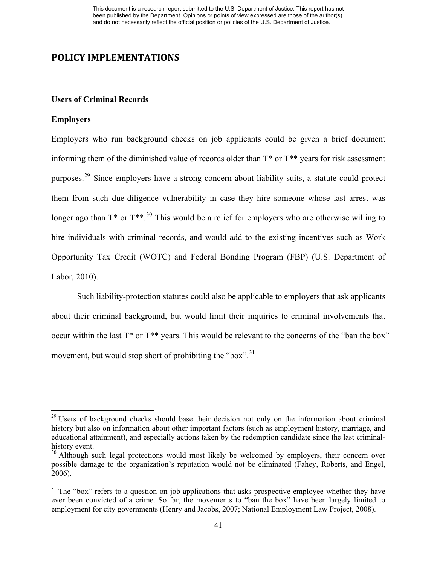## **POLICY IMPLEMENTATIONS**

#### **Users of Criminal Records**

#### **Employers**

Employers who run background checks on job applicants could be given a brief document informing them of the diminished value of records older than T\* or T\*\* years for risk assessment purposes.[29](#page-42-0) Since employers have a strong concern about liability suits, a statute could protect them from such due-diligence vulnerability in case they hire someone whose last arrest was longer ago than  $T^*$  or  $T^{**}$ .<sup>[30](#page-42-1)</sup> This would be a relief for employers who are otherwise willing to hire individuals with criminal records, and would add to the existing incentives such as Work Opportunity Tax Credit (WOTC) and Federal Bonding Program (FBP) (U.S. Department of Labor, 2010).

Such liability-protection statutes could also be applicable to employers that ask applicants about their criminal background, but would limit their inquiries to criminal involvements that occur within the last T\* or T\*\* years. This would be relevant to the concerns of the "ban the box" movement, but would stop short of prohibiting the "box".<sup>[31](#page-42-2)</sup>

<span id="page-42-0"></span><sup>&</sup>lt;sup>29</sup> Users of background checks should base their decision not only on the information about criminal history but also on information about other important factors (such as employment history, marriage, and educational attainment), and especially actions taken by the redemption candidate since the last criminalhistory event.

<span id="page-42-1"></span> $30$  Although such legal protections would most likely be welcomed by employers, their concern over possible damage to the organization's reputation would not be eliminated (Fahey, Roberts, and Engel, 2006).

<span id="page-42-2"></span> $31$  The "box" refers to a question on job applications that asks prospective employee whether they have ever been convicted of a crime. So far, the movements to "ban the box" have been largely limited to employment for city governments (Henry and Jacobs, 2007; National Employment Law Project, 2008).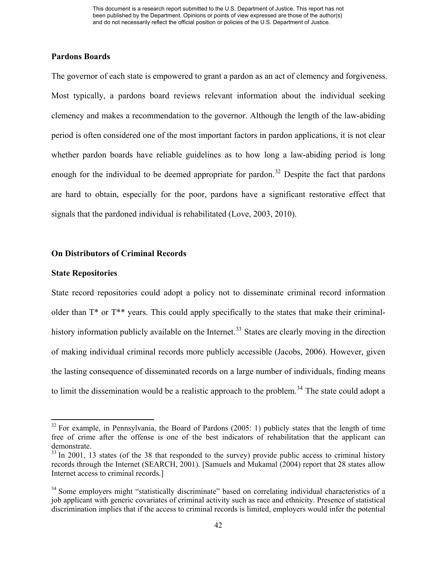### **Pardons Boards**

The governor of each state is empowered to grant a pardon as an act of clemency and forgiveness. Most typically, a pardons board reviews relevant information about the individual seeking clemency and makes a recommendation to the governor. Although the length of the law-abiding period is often considered one of the most important factors in pardon applications, it is not clear whether pardon boards have reliable guidelines as to how long a law-abiding period is long enough for the individual to be deemed appropriate for pardon.<sup>[32](#page-43-0)</sup> Despite the fact that pardons are hard to obtain, especially for the poor, pardons have a significant restorative effect that signals that the pardoned individual is rehabilitated (Love, 2003, 2010).

### **On Distributors of Criminal Records**

#### **State Repositories**

State record repositories could adopt a policy not to disseminate criminal record information older than  $T^*$  or  $T^{**}$  years. This could apply specifically to the states that make their criminal-history information publicly available on the Internet.<sup>[33](#page-43-1)</sup> States are clearly moving in the direction of making individual criminal records more publicly accessible (Jacobs, 2006). However, given the lasting consequence of disseminated records on a large number of individuals, finding means to limit the dissemination would be a realistic approach to the problem.<sup>[34](#page-43-2)</sup> The state could adopt a

<span id="page-43-0"></span> $32$  For example, in Pennsylvania, the Board of Pardons (2005: 1) publicly states that the length of time free of crime after the offense is one of the best indicators of rehabilitation that the applicant can demonstrate.

<span id="page-43-1"></span> $33$  In 2001, 13 states (of the 38 that responded to the survey) provide public access to criminal history records through the Internet (SEARCH, 2001). [Samuels and Mukamal (2004) report that 28 states allow Internet access to criminal records.]

<span id="page-43-2"></span><sup>&</sup>lt;sup>34</sup> Some employers might "statistically discriminate" based on correlating individual characteristics of a job applicant with generic covariates of criminal activity such as race and ethnicity. Presence of statistical discrimination implies that if the access to criminal records is limited, employers would infer the potential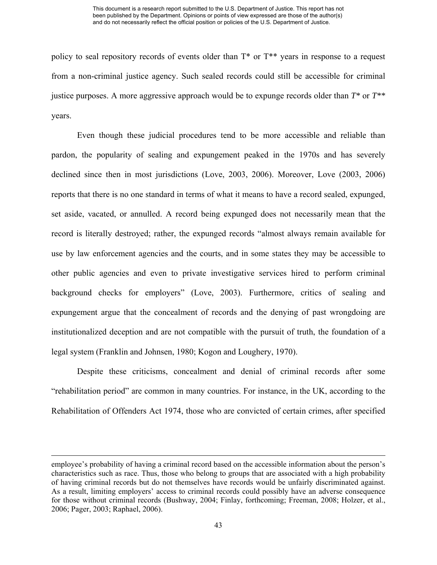policy to seal repository records of events older than T\* or T\*\* years in response to a request from a non-criminal justice agency. Such sealed records could still be accessible for criminal justice purposes. A more aggressive approach would be to expunge records older than *T\** or *T\*\** years.

Even though these judicial procedures tend to be more accessible and reliable than pardon, the popularity of sealing and expungement peaked in the 1970s and has severely declined since then in most jurisdictions (Love, 2003, 2006). Moreover, Love (2003, 2006) reports that there is no one standard in terms of what it means to have a record sealed, expunged, set aside, vacated, or annulled. A record being expunged does not necessarily mean that the record is literally destroyed; rather, the expunged records "almost always remain available for use by law enforcement agencies and the courts, and in some states they may be accessible to other public agencies and even to private investigative services hired to perform criminal background checks for employers" (Love, 2003). Furthermore, critics of sealing and expungement argue that the concealment of records and the denying of past wrongdoing are institutionalized deception and are not compatible with the pursuit of truth, the foundation of a legal system (Franklin and Johnsen, 1980; Kogon and Loughery, 1970).

Despite these criticisms, concealment and denial of criminal records after some "rehabilitation period" are common in many countries. For instance, in the UK, according to the Rehabilitation of Offenders Act 1974, those who are convicted of certain crimes, after specified

<u> 1989 - Johann Stein, marwolaethau a gweledydd a ganlad y ganlad y ganlad y ganlad y ganlad y ganlad y ganlad</u>

employee's probability of having a criminal record based on the accessible information about the person's characteristics such as race. Thus, those who belong to groups that are associated with a high probability of having criminal records but do not themselves have records would be unfairly discriminated against. As a result, limiting employers' access to criminal records could possibly have an adverse consequence for those without criminal records (Bushway, 2004; Finlay, forthcoming; Freeman, 2008; Holzer, et al., 2006; Pager, 2003; Raphael, 2006).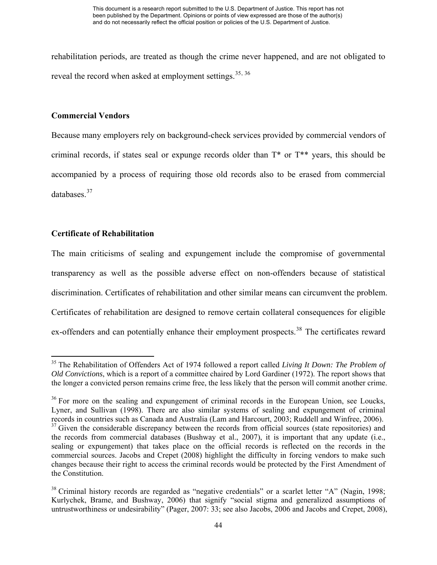rehabilitation periods, are treated as though the crime never happened, and are not obligated to reveal the record when asked at employment settings.<sup>[35](#page-45-0), [36](#page-45-1)</sup>

### **Commercial Vendors**

Because many employers rely on background-check services provided by commercial vendors of criminal records, if states seal or expunge records older than T\* or T\*\* years, this should be accompanied by a process of requiring those old records also to be erased from commercial databases<sup>[37](#page-45-2)</sup>

## **Certificate of Rehabilitation**

The main criticisms of sealing and expungement include the compromise of governmental transparency as well as the possible adverse effect on non-offenders because of statistical discrimination. Certificates of rehabilitation and other similar means can circumvent the problem. Certificates of rehabilitation are designed to remove certain collateral consequences for eligible ex-offenders and can potentially enhance their employment prospects.<sup>[38](#page-45-3)</sup> The certificates reward

<span id="page-45-0"></span><sup>35</sup> The Rehabilitation of Offenders Act of 1974 followed a report called *Living It Down: The Problem of Old Convictions*, which is a report of a committee chaired by Lord Gardiner (1972). The report shows that the longer a convicted person remains crime free, the less likely that the person will commit another crime.

<span id="page-45-2"></span><span id="page-45-1"></span><sup>&</sup>lt;sup>36</sup> For more on the sealing and expungement of criminal records in the European Union, see Loucks, Lyner, and Sullivan (1998). There are also similar systems of sealing and expungement of criminal records in countries such as Canada and Australia (Lam and Harcourt, 2003; Ruddell and Winfree, 2006). <sup>37</sup> Given the considerable discrepancy between the records from official sources (state repositories) and the records from commercial databases (Bushway et al., 2007), it is important that any update (i.e., sealing or expungement) that takes place on the official records is reflected on the records in the commercial sources. Jacobs and Crepet (2008) highlight the difficulty in forcing vendors to make such changes because their right to access the criminal records would be protected by the First Amendment of the Constitution.

<span id="page-45-3"></span><sup>&</sup>lt;sup>38</sup> Criminal history records are regarded as "negative credentials" or a scarlet letter "A" (Nagin, 1998; Kurlychek, Brame, and Bushway, 2006) that signify "social stigma and generalized assumptions of untrustworthiness or undesirability" (Pager, 2007: 33; see also Jacobs, 2006 and Jacobs and Crepet, 2008),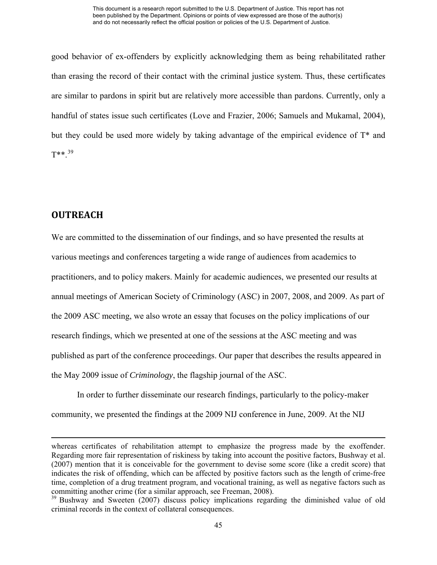good behavior of ex-offenders by explicitly acknowledging them as being rehabilitated rather than erasing the record of their contact with the criminal justice system. Thus, these certificates are similar to pardons in spirit but are relatively more accessible than pardons. Currently, only a handful of states issue such certificates (Love and Frazier, 2006; Samuels and Mukamal, 2004), but they could be used more widely by taking advantage of the empirical evidence of T\* and  $T^{**}$ <sup>[39](#page-46-0)</sup>

# **OUTREACH**

We are committed to the dissemination of our findings, and so have presented the results at various meetings and conferences targeting a wide range of audiences from academics to practitioners, and to policy makers. Mainly for academic audiences, we presented our results at annual meetings of American Society of Criminology (ASC) in 2007, 2008, and 2009. As part of the 2009 ASC meeting, we also wrote an essay that focuses on the policy implications of our research findings, which we presented at one of the sessions at the ASC meeting and was published as part of the conference proceedings. Our paper that describes the results appeared in the May 2009 issue of *Criminology*, the flagship journal of the ASC.

In order to further disseminate our research findings, particularly to the policy-maker community, we presented the findings at the 2009 NIJ conference in June, 2009. At the NIJ

<u> 1989 - Johann Stein, marwolaethau a gweledydd a ganlad y ganlad y ganlad y ganlad y ganlad y ganlad y ganlad</u>

whereas certificates of rehabilitation attempt to emphasize the progress made by the exoffender. Regarding more fair representation of riskiness by taking into account the positive factors, Bushway et al. (2007) mention that it is conceivable for the government to devise some score (like a credit score) that indicates the risk of offending, which can be affected by positive factors such as the length of crime-free time, completion of a drug treatment program, and vocational training, as well as negative factors such as committing another crime (for a similar approach, see Freeman, 2008).

<span id="page-46-0"></span><sup>&</sup>lt;sup>39</sup> Bushway and Sweeten (2007) discuss policy implications regarding the diminished value of old criminal records in the context of collateral consequences.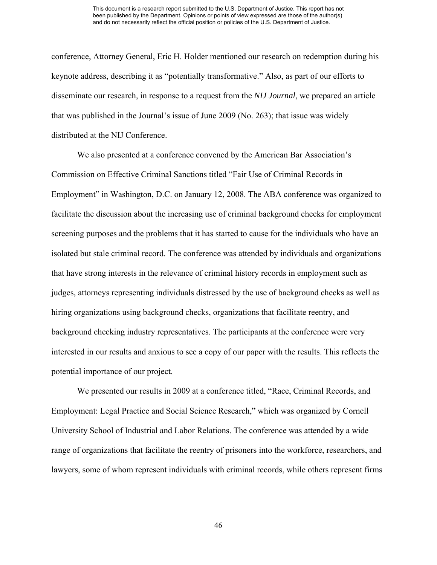conference, Attorney General, Eric H. Holder mentioned our research on redemption during his keynote address, describing it as "potentially transformative." Also, as part of our efforts to disseminate our research, in response to a request from the *NIJ Journal*, we prepared an article that was published in the Journal's issue of June 2009 (No. 263); that issue was widely distributed at the NIJ Conference.

We also presented at a conference convened by the American Bar Association's Commission on Effective Criminal Sanctions titled "Fair Use of Criminal Records in Employment" in Washington, D.C. on January 12, 2008. The ABA conference was organized to facilitate the discussion about the increasing use of criminal background checks for employment screening purposes and the problems that it has started to cause for the individuals who have an isolated but stale criminal record. The conference was attended by individuals and organizations that have strong interests in the relevance of criminal history records in employment such as judges, attorneys representing individuals distressed by the use of background checks as well as hiring organizations using background checks, organizations that facilitate reentry, and background checking industry representatives. The participants at the conference were very interested in our results and anxious to see a copy of our paper with the results. This reflects the potential importance of our project.

We presented our results in 2009 at a conference titled, "Race, Criminal Records, and Employment: Legal Practice and Social Science Research," which was organized by Cornell University School of Industrial and Labor Relations. The conference was attended by a wide range of organizations that facilitate the reentry of prisoners into the workforce, researchers, and lawyers, some of whom represent individuals with criminal records, while others represent firms

46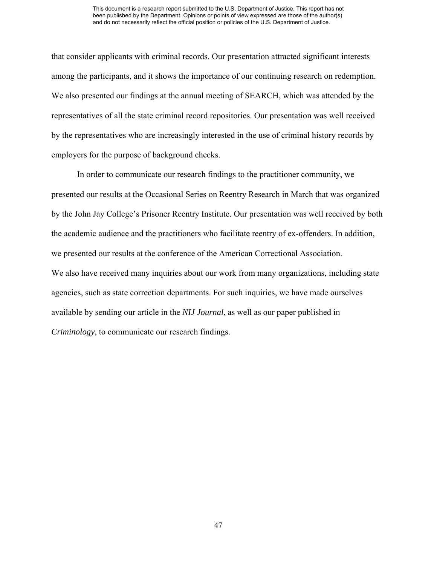that consider applicants with criminal records. Our presentation attracted significant interests among the participants, and it shows the importance of our continuing research on redemption. We also presented our findings at the annual meeting of SEARCH, which was attended by the representatives of all the state criminal record repositories. Our presentation was well received by the representatives who are increasingly interested in the use of criminal history records by employers for the purpose of background checks.

In order to communicate our research findings to the practitioner community, we presented our results at the Occasional Series on Reentry Research in March that was organized by the John Jay College's Prisoner Reentry Institute. Our presentation was well received by both the academic audience and the practitioners who facilitate reentry of ex-offenders. In addition, we presented our results at the conference of the American Correctional Association. We also have received many inquiries about our work from many organizations, including state agencies, such as state correction departments. For such inquiries, we have made ourselves available by sending our article in the *NIJ Journal*, as well as our paper published in *Criminology*, to communicate our research findings.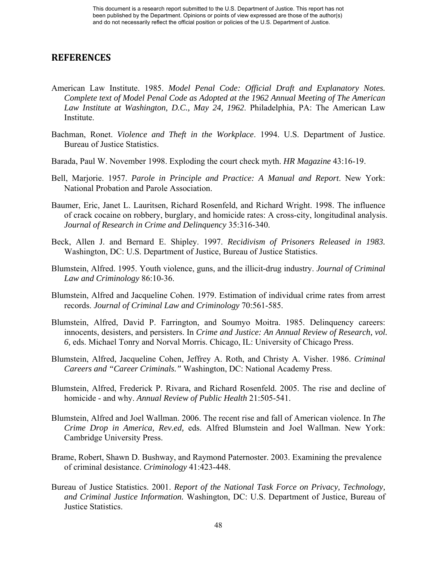# **REFERENCES**

- American Law Institute. 1985. *Model Penal Code: Official Draft and Explanatory Notes. Complete text of Model Penal Code as Adopted at the 1962 Annual Meeting of The American Law Institute at Washington, D.C., May 24, 1962*. Philadelphia, PA: The American Law Institute.
- Bachman, Ronet. *Violence and Theft in the Workplace*. 1994. U.S. Department of Justice. Bureau of Justice Statistics.
- Barada, Paul W. November 1998. Exploding the court check myth. *HR Magazine* 43:16-19.
- Bell, Marjorie. 1957. *Parole in Principle and Practice: A Manual and Report*. New York: National Probation and Parole Association.
- Baumer, Eric, Janet L. Lauritsen, Richard Rosenfeld, and Richard Wright. 1998. The influence of crack cocaine on robbery, burglary, and homicide rates: A cross-city, longitudinal analysis. *Journal of Research in Crime and Delinquency* 35:316-340.
- Beck, Allen J. and Bernard E. Shipley. 1997. *Recidivism of Prisoners Released in 1983.* Washington, DC: U.S. Department of Justice, Bureau of Justice Statistics.
- Blumstein, Alfred. 1995. Youth violence, guns, and the illicit-drug industry. *Journal of Criminal Law and Criminology* 86:10-36.
- Blumstein, Alfred and Jacqueline Cohen. 1979. Estimation of individual crime rates from arrest records. *Journal of Criminal Law and Criminology* 70:561-585.
- Blumstein, Alfred, David P. Farrington, and Soumyo Moitra. 1985. Delinquency careers: innocents, desisters, and persisters. In *Crime and Justice: An Annual Review of Research, vol. 6,* eds. Michael Tonry and Norval Morris. Chicago, IL: University of Chicago Press.
- Blumstein, Alfred, Jacqueline Cohen, Jeffrey A. Roth, and Christy A. Visher. 1986. *Criminal Careers and "Career Criminals."* Washington, DC: National Academy Press.
- Blumstein, Alfred, Frederick P. Rivara, and Richard Rosenfeld. 2005. The rise and decline of homicide - and why. *Annual Review of Public Health* 21:505-541.
- Blumstein, Alfred and Joel Wallman. 2006. The recent rise and fall of American violence. In *The Crime Drop in America, Rev.ed,* eds. Alfred Blumstein and Joel Wallman. New York: Cambridge University Press.
- Brame, Robert, Shawn D. Bushway, and Raymond Paternoster. 2003. Examining the prevalence of criminal desistance. *Criminology* 41:423-448.
- Bureau of Justice Statistics. 2001. *Report of the National Task Force on Privacy, Technology, and Criminal Justice Information.* Washington, DC: U.S. Department of Justice, Bureau of Justice Statistics.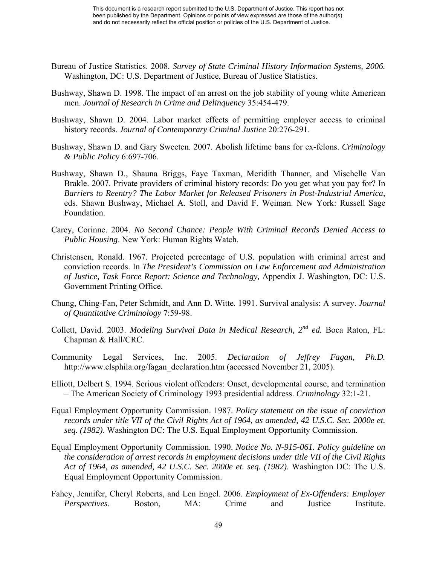- Bureau of Justice Statistics. 2008. *Survey of State Criminal History Information Systems, 2006.* Washington, DC: U.S. Department of Justice, Bureau of Justice Statistics.
- Bushway, Shawn D. 1998. The impact of an arrest on the job stability of young white American men. *Journal of Research in Crime and Delinquency* 35:454-479.
- Bushway, Shawn D. 2004. Labor market effects of permitting employer access to criminal history records. *Journal of Contemporary Criminal Justice* 20:276-291.
- Bushway, Shawn D. and Gary Sweeten. 2007. Abolish lifetime bans for ex-felons. *Criminology & Public Policy* 6:697-706.
- Bushway, Shawn D., Shauna Briggs, Faye Taxman, Meridith Thanner, and Mischelle Van Brakle. 2007. Private providers of criminal history records: Do you get what you pay for? In *Barriers to Reentry? The Labor Market for Released Prisoners in Post-Industrial America*, eds. Shawn Bushway, Michael A. Stoll, and David F. Weiman. New York: Russell Sage Foundation.
- Carey, Corinne. 2004. *No Second Chance: People With Criminal Records Denied Access to Public Housing*. New York: Human Rights Watch.
- Christensen, Ronald. 1967. Projected percentage of U.S. population with criminal arrest and conviction records. In *The President's Commission on Law Enforcement and Administration of Justice, Task Force Report: Science and Technology,* Appendix J. Washington, DC: U.S. Government Printing Office.
- Chung, Ching-Fan, Peter Schmidt, and Ann D. Witte. 1991. Survival analysis: A survey. *Journal of Quantitative Criminology* 7:59-98.
- Collett, David. 2003. *Modeling Survival Data in Medical Research, 2nd ed.* Boca Raton, FL: Chapman & Hall/CRC.
- Community Legal Services, Inc. 2005. *Declaration of Jeffrey Fagan, Ph.D.* http://www.clsphila.org/fagan\_declaration.htm (accessed November 21, 2005).
- Elliott, Delbert S. 1994. Serious violent offenders: Onset, developmental course, and termination – The American Society of Criminology 1993 presidential address. *Criminology* 32:1-21.
- Equal Employment Opportunity Commission. 1987. *Policy statement on the issue of conviction records under title VII of the Civil Rights Act of 1964, as amended, 42 U.S.C. Sec. 2000e et. seq. (1982)*. Washington DC: The U.S. Equal Employment Opportunity Commission.
- Equal Employment Opportunity Commission. 1990. *Notice No. N-915-061. Policy guideline on the consideration of arrest records in employment decisions under title VII of the Civil Rights Act of 1964, as amended, 42 U.S.C. Sec. 2000e et. seq. (1982)*. Washington DC: The U.S. Equal Employment Opportunity Commission.
- Fahey, Jennifer, Cheryl Roberts, and Len Engel. 2006. *Employment of Ex-Offenders: Employer Perspectives*. Boston, MA: Crime and Justice Institute.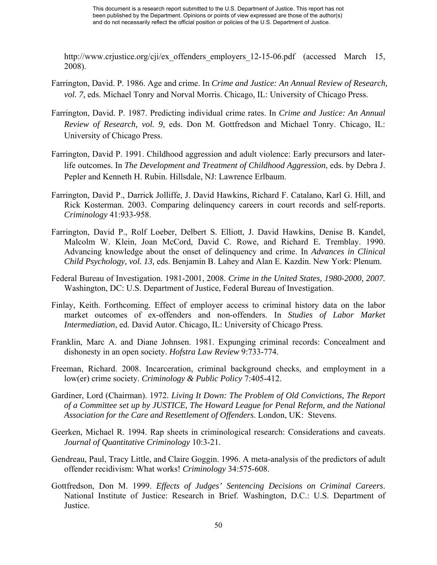http://www.crjustice.org/cji/ex offenders employers 12-15-06.pdf (accessed March 15, 2008).

- Farrington, David. P. 1986. Age and crime. In *Crime and Justice: An Annual Review of Research, vol. 7,* eds. Michael Tonry and Norval Morris. Chicago, IL: University of Chicago Press.
- Farrington, David. P. 1987. Predicting individual crime rates. In *Crime and Justice: An Annual Review of Research, vol. 9,* eds. Don M. Gottfredson and Michael Tonry. Chicago, IL: University of Chicago Press.
- Farrington, David P. 1991. Childhood aggression and adult violence: Early precursors and laterlife outcomes. In *The Development and Treatment of Childhood Aggression*, eds. by Debra J. Pepler and Kenneth H. Rubin. Hillsdale, NJ: Lawrence Erlbaum.
- Farrington, David P., Darrick Jolliffe, J. David Hawkins, Richard F. Catalano, Karl G. Hill, and Rick Kosterman. 2003. Comparing delinquency careers in court records and self-reports. *Criminology* 41:933-958.
- Farrington, David P., Rolf Loeber, Delbert S. Elliott, J. David Hawkins, Denise B. Kandel, Malcolm W. Klein, Joan McCord, David C. Rowe, and Richard E. Tremblay. 1990. Advancing knowledge about the onset of delinquency and crime. In *Advances in Clinical Child Psychology, vol. 13,* eds. Benjamin B. Lahey and Alan E. Kazdin. New York: Plenum.
- Federal Bureau of Investigation. 1981-2001, 2008. *Crime in the United States, 1980-2000, 2007.* Washington, DC: U.S. Department of Justice, Federal Bureau of Investigation.
- Finlay, Keith. Forthcoming. Effect of employer access to criminal history data on the labor market outcomes of ex-offenders and non-offenders. In *Studies of Labor Market Intermediation*, ed. David Autor. Chicago, IL: University of Chicago Press.
- Franklin, Marc A. and Diane Johnsen. 1981. Expunging criminal records: Concealment and dishonesty in an open society. *Hofstra Law Review* 9:733-774.
- Freeman, Richard. 2008. Incarceration, criminal background checks, and employment in a low(er) crime society. *Criminology & Public Policy* 7:405-412.
- Gardiner, Lord (Chairman). 1972. *Living It Down: The Problem of Old Convictions, The Report of a Committee set up by JUSTICE, The Howard League for Penal Reform, and the National Association for the Care and Resettlement of Offenders*. London, UK: Stevens.
- Geerken, Michael R. 1994. Rap sheets in criminological research: Considerations and caveats. *Journal of Quantitative Criminology* 10:3-21.
- Gendreau, Paul, Tracy Little, and Claire Goggin. 1996. A meta-analysis of the predictors of adult offender recidivism: What works! *Criminology* 34:575-608.
- Gottfredson, Don M. 1999. *Effects of Judges' Sentencing Decisions on Criminal Careers*. National Institute of Justice: Research in Brief. Washington, D.C.: U.S. Department of Justice.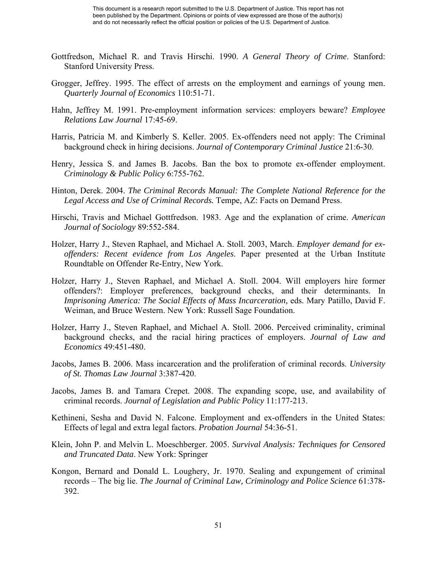- Gottfredson, Michael R. and Travis Hirschi. 1990. *A General Theory of Crime*. Stanford: Stanford University Press.
- Grogger, Jeffrey. 1995. The effect of arrests on the employment and earnings of young men. *Quarterly Journal of Economics* 110:51-71.
- Hahn, Jeffrey M. 1991. Pre-employment information services: employers beware? *Employee Relations Law Journal* 17:45-69.
- Harris, Patricia M. and Kimberly S. Keller. 2005. Ex-offenders need not apply: The Criminal background check in hiring decisions. *Journal of Contemporary Criminal Justice* 21:6-30.
- Henry, Jessica S. and James B. Jacobs. Ban the box to promote ex-offender employment. *Criminology & Public Policy* 6:755-762.
- Hinton, Derek. 2004. *The Criminal Records Manual: The Complete National Reference for the Legal Access and Use of Criminal Records.* Tempe, AZ: Facts on Demand Press.
- Hirschi, Travis and Michael Gottfredson. 1983. Age and the explanation of crime. *American Journal of Sociology* 89:552-584.
- Holzer, Harry J., Steven Raphael, and Michael A. Stoll. 2003, March. *Employer demand for exoffenders: Recent evidence from Los Angeles*. Paper presented at the Urban Institute Roundtable on Offender Re-Entry, New York.
- Holzer, Harry J., Steven Raphael, and Michael A. Stoll. 2004. Will employers hire former offenders?: Employer preferences, background checks, and their determinants. In *Imprisoning America: The Social Effects of Mass Incarceration, eds. Mary Patillo, David F.* Weiman, and Bruce Western. New York: Russell Sage Foundation.
- Holzer, Harry J., Steven Raphael, and Michael A. Stoll. 2006. Perceived criminality, criminal background checks, and the racial hiring practices of employers. *Journal of Law and Economics* 49:451-480.
- Jacobs, James B. 2006. Mass incarceration and the proliferation of criminal records. *University of St. Thomas Law Journal* 3:387-420.
- Jacobs, James B. and Tamara Crepet. 2008. The expanding scope, use, and availability of criminal records. *Journal of Legislation and Public Policy* 11:177-213.
- Kethineni, Sesha and David N. Falcone. Employment and ex-offenders in the United States: Effects of legal and extra legal factors. *Probation Journal* 54:36-51.
- Klein, John P. and Melvin L. Moeschberger. 2005. *Survival Analysis: Techniques for Censored and Truncated Data*. New York: Springer
- Kongon, Bernard and Donald L. Loughery, Jr. 1970. Sealing and expungement of criminal records – The big lie. *The Journal of Criminal Law, Criminology and Police Science* 61:378- 392.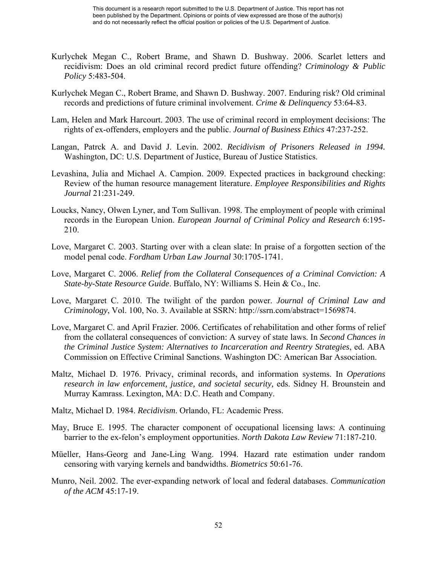- Kurlychek Megan C., Robert Brame, and Shawn D. Bushway. 2006. Scarlet letters and recidivism: Does an old criminal record predict future offending? *Criminology & Public Policy* 5:483-504.
- Kurlychek Megan C., Robert Brame, and Shawn D. Bushway. 2007. Enduring risk? Old criminal records and predictions of future criminal involvement. *Crime & Delinquency* 53:64-83.
- Lam, Helen and Mark Harcourt. 2003. The use of criminal record in employment decisions: The rights of ex-offenders, employers and the public. *Journal of Business Ethics* 47:237-252.
- Langan, Patrck A. and David J. Levin. 2002. *Recidivism of Prisoners Released in 1994.* Washington, DC: U.S. Department of Justice, Bureau of Justice Statistics.
- Levashina, Julia and Michael A. Campion. 2009. Expected practices in background checking: Review of the human resource management literature. *Employee Responsibilities and Rights Journal* 21:231-249.
- Loucks, Nancy, Olwen Lyner, and Tom Sullivan. 1998. The employment of people with criminal records in the European Union. *European Journal of Criminal Policy and Research* 6:195- 210.
- Love, Margaret C. 2003. Starting over with a clean slate: In praise of a forgotten section of the model penal code. *Fordham Urban Law Journal* 30:1705-1741.
- Love, Margaret C. 2006. *Relief from the Collateral Consequences of a Criminal Conviction: A State-by-State Resource Guide*. Buffalo, NY: Williams S. Hein & Co., Inc.
- Love, Margaret C. 2010. The twilight of the pardon power. *Journal of Criminal Law and Criminology*, Vol. 100, No. 3. Available at SSRN: http://ssrn.com/abstract=1569874.
- Love, Margaret C. and April Frazier. 2006. Certificates of rehabilitation and other forms of relief from the collateral consequences of conviction: A survey of state laws. In *Second Chances in the Criminal Justice System: Alternatives to Incarceration and Reentry Strategies*, ed. ABA Commission on Effective Criminal Sanctions. Washington DC: American Bar Association.
- Maltz, Michael D. 1976. Privacy, criminal records, and information systems. In *Operations research in law enforcement, justice, and societal security,* eds. Sidney H. Brounstein and Murray Kamrass. Lexington, MA: D.C. Heath and Company.
- Maltz, Michael D. 1984. *Recidivism*. Orlando, FL: Academic Press.
- May, Bruce E. 1995. The character component of occupational licensing laws: A continuing barrier to the ex-felon's employment opportunities. *North Dakota Law Review* 71:187-210.
- Müeller, Hans-Georg and Jane-Ling Wang. 1994. Hazard rate estimation under random censoring with varying kernels and bandwidths. *Biometrics* 50:61-76.
- Munro, Neil. 2002. The ever-expanding network of local and federal databases. *Communication of the ACM* 45:17-19.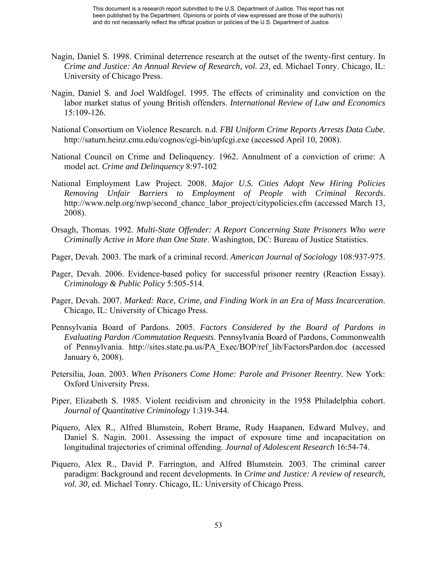- Nagin, Daniel S. 1998. Criminal deterrence research at the outset of the twenty-first century. In *Crime and Justice: An Annual Review of Research, vol. 23,* ed. Michael Tonry. Chicago, IL: University of Chicago Press.
- Nagin, Daniel S. and Joel Waldfogel. 1995. The effects of criminality and conviction on the labor market status of young British offenders. *International Review of Law and Economics* 15:109-126.
- National Consortium on Violence Research. n.d. *FBI Uniform Crime Reports Arrests Data Cube.* http://saturn.heinz.cmu.edu/cognos/cgi-bin/upfcgi.exe (accessed April 10, 2008).
- National Council on Crime and Delinquency. 1962. Annulment of a conviction of crime: A model act. *Crime and Delinquency* 8:97-102
- National Employment Law Project. 2008. *Major U.S. Cities Adopt New Hiring Policies Removing Unfair Barriers to Employment of People with Criminal Records*. http://www.nelp.org/nwp/second\_chance\_labor\_project/citypolicies.cfm (accessed March 13, 2008).
- Orsagh, Thomas. 1992. *Multi-State Offender: A Report Concerning State Prisoners Who were Criminally Active in More than One State*. Washington, DC: Bureau of Justice Statistics.
- Pager, Devah. 2003. The mark of a criminal record. *American Journal of Sociology* 108:937-975.
- Pager, Devah. 2006. Evidence-based policy for successful prisoner reentry (Reaction Essay). *Criminology & Public Policy* 5:505-514.
- Pager, Devah. 2007. *Marked: Race, Crime, and Finding Work in an Era of Mass Incarceration*. Chicago, IL: University of Chicago Press.
- Pennsylvania Board of Pardons. 2005. *Factors Considered by the Board of Pardons in Evaluating Pardon /Commutation Requests*. Pennsylvania Board of Pardons, Commonwealth of Pennsylvania. http://sites.state.pa.us/PA\_Exec/BOP/ref\_lib/FactorsPardon.doc (accessed January 6, 2008).
- Petersilia, Joan. 2003. *When Prisoners Come Home: Parole and Prisoner Reentry*. New York: Oxford University Press.
- Piper, Elizabeth S. 1985. Violent recidivism and chronicity in the 1958 Philadelphia cohort. *Journal of Quantitative Criminology* 1:319-344.
- Piquero, Alex R., Alfred Blumstein, Robert Brame, Rudy Haapanen, Edward Mulvey, and Daniel S. Nagin. 2001. Assessing the impact of exposure time and incapacitation on longitudinal trajectories of criminal offending. *Journal of Adolescent Research* 16:54-74.
- Piquero, Alex R., David P. Farrington, and Alfred Blumstein. 2003. The criminal career paradigm: Background and recent developments. In *Crime and Justice: A review of research, vol. 30,* ed. Michael Tonry. Chicago, IL: University of Chicago Press.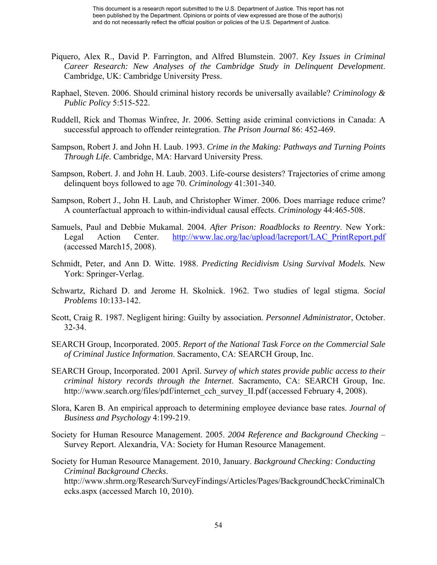- Piquero, Alex R., David P. Farrington, and Alfred Blumstein. 2007. *Key Issues in Criminal Career Research: New Analyses of the Cambridge Study in Delinquent Development*. Cambridge, UK: Cambridge University Press.
- Raphael, Steven. 2006. Should criminal history records be universally available? *Criminology & Public Policy* 5:515-522.
- Ruddell, Rick and Thomas Winfree, Jr. 2006. Setting aside criminal convictions in Canada: A successful approach to offender reintegration. *The Prison Journal* 86: 452-469.
- Sampson, Robert J. and John H. Laub. 1993. *Crime in the Making: Pathways and Turning Points Through Life.* Cambridge, MA: Harvard University Press.
- Sampson, Robert. J. and John H. Laub. 2003. Life-course desisters? Trajectories of crime among delinquent boys followed to age 70. *Criminology* 41:301-340.
- Sampson, Robert J., John H. Laub, and Christopher Wimer. 2006. Does marriage reduce crime? A counterfactual approach to within-individual causal effects. *Criminology* 44:465-508.
- Samuels, Paul and Debbie Mukamal. 2004. *After Prison: Roadblocks to Reentry*. New York: Legal Action Center. [http://www.lac.org/lac/upload/lacreport/LAC\\_PrintReport.pdf](http://www.lac.org/lac/upload/lacreport/LAC_PrintReport.pdf) (accessed March15, 2008).
- Schmidt, Peter, and Ann D. Witte. 1988. *Predicting Recidivism Using Survival Models.* New York: Springer-Verlag.
- Schwartz, Richard D. and Jerome H. Skolnick. 1962. Two studies of legal stigma. *Social Problems* 10:133-142.
- Scott, Craig R. 1987. Negligent hiring: Guilty by association. *Personnel Administrator*, October. 32-34.
- SEARCH Group, Incorporated. 2005. *Report of the National Task Force on the Commercial Sale of Criminal Justice Information*. Sacramento, CA: SEARCH Group, Inc.
- SEARCH Group, Incorporated. 2001 April. *Survey of which states provide public access to their criminal history records through the Internet*. Sacramento, CA: SEARCH Group, Inc. http://www.search.org/files/pdf/internet\_cch\_survey\_II.pdf (accessed February 4, 2008).
- Slora, Karen B. An empirical approach to determining employee deviance base rates. *Journal of Business and Psychology* 4:199-219.
- Society for Human Resource Management. 2005. *2004 Reference and Background Checking*  Survey Report. Alexandria, VA: Society for Human Resource Management.
- Society for Human Resource Management. 2010, January. *Background Checking: Conducting Criminal Background Checks*.

http://www.shrm.org/Research/SurveyFindings/Articles/Pages/BackgroundCheckCriminalCh ecks.aspx (accessed March 10, 2010).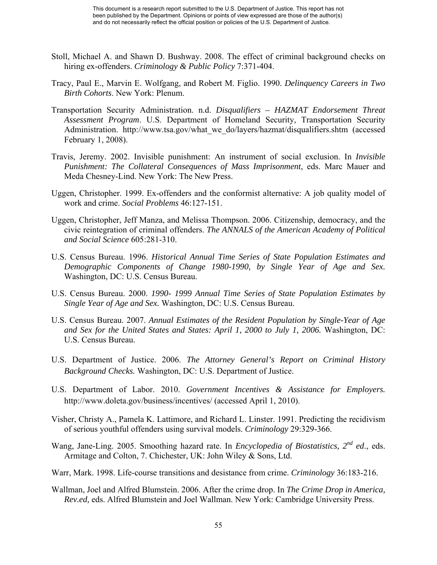- Stoll, Michael A. and Shawn D. Bushway. 2008. The effect of criminal background checks on hiring ex-offenders. *Criminology & Public Policy* 7:371-404.
- Tracy, Paul E., Marvin E. Wolfgang, and Robert M. Figlio. 1990. *Delinquency Careers in Two Birth Cohorts*. New York: Plenum.
- Transportation Security Administration. n.d. *Disqualifiers HAZMAT Endorsement Threat Assessment Program*. U.S. Department of Homeland Security, Transportation Security Administration. http://www.tsa.gov/what\_we\_do/layers/hazmat/disqualifiers.shtm (accessed February 1, 2008).
- Travis, Jeremy. 2002. Invisible punishment: An instrument of social exclusion. In *Invisible Punishment: The Collateral Consequences of Mass Imprisonment*, eds. Marc Mauer and Meda Chesney-Lind. New York: The New Press.
- Uggen, Christopher. 1999. Ex-offenders and the conformist alternative: A job quality model of work and crime. *Social Problems* 46:127-151.
- Uggen, Christopher, Jeff Manza, and Melissa Thompson. 2006. Citizenship, democracy, and the civic reintegration of criminal offenders. *The ANNALS of the American Academy of Political and Social Science* 605:281-310.
- U.S. Census Bureau. 1996. *Historical Annual Time Series of State Population Estimates and Demographic Components of Change 1980-1990, by Single Year of Age and Sex.* Washington, DC: U.S. Census Bureau.
- U.S. Census Bureau. 2000. *1990- 1999 Annual Time Series of State Population Estimates by Single Year of Age and Sex.* Washington, DC: U.S. Census Bureau.
- U.S. Census Bureau. 2007. *Annual Estimates of the Resident Population by Single-Year of Age and Sex for the United States and States: April 1, 2000 to July 1, 2006.* Washington, DC: U.S. Census Bureau.
- U.S. Department of Justice. 2006. *The Attorney General's Report on Criminal History Background Checks.* Washington, DC: U.S. Department of Justice.
- U.S. Department of Labor. 2010. *Government Incentives & Assistance for Employers.* http://www.doleta.gov/business/incentives/ (accessed April 1, 2010).
- Visher, Christy A., Pamela K. Lattimore, and Richard L. Linster. 1991. Predicting the recidivism of serious youthful offenders using survival models. *Criminology* 29:329-366.
- Wang, Jane-Ling. 2005. Smoothing hazard rate. In *Encyclopedia of Biostatistics, 2nd ed*., eds. Armitage and Colton, 7. Chichester, UK: John Wiley & Sons, Ltd.
- Warr, Mark. 1998. Life-course transitions and desistance from crime. *Criminology* 36:183-216.
- Wallman, Joel and Alfred Blumstein. 2006. After the crime drop. In *The Crime Drop in America, Rev.ed,* eds. Alfred Blumstein and Joel Wallman. New York: Cambridge University Press.